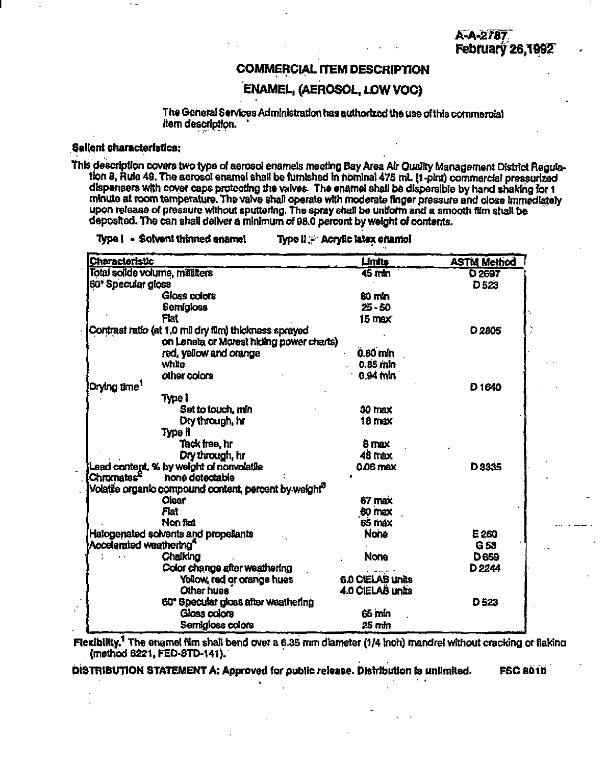## **COMMERCIAL ITEM DESCRIPTION**

# **ENAMEL, (AEROSOL, LOW VOC)**

The General Services Administration has authorized the use of this commercial Item description.

### Sallent characteristics:

This description covers two type of aerosol enamels meeting Bay Area Air Quality Management District Regulation 8, Rule 49. The acrosol enamel shall be furnished in nominal 475 mL (1-pint) commercial pressurized dispensers with cover caps protecting the valves. The enamel shall be dispersible by hand shaking for 1 minute at room temperature. The valve shall operate with moderate finger pressure and close immediately upon release of pressure without sputtering. The spray shall be uniform and a smooth film shall be deposited. The can shall deliver a minimum of 98.0 percent by weight of contents.

#### Type ( - Solvent thinned ename! Type il - Acrylic latex chamel

| <b>Characteristic</b>                                             | Limits             | <b>ASTM Method</b> |
|-------------------------------------------------------------------|--------------------|--------------------|
| Total solids volume, millitters                                   | $\overline{45}$ mm | D <sub>2697</sub>  |
| 60° Specular gloss                                                |                    | D 523              |
| Gloss colors                                                      | 80 กษา             |                    |
| Semigloss                                                         | $25 - 50$          |                    |
| Flat                                                              | 15 max             |                    |
| Contrast ratio (at 1,0 mil dry film) thickness sprayed            |                    | D <sub>2805</sub>  |
| on Leneta or Morest hiding power charts)                          |                    |                    |
| red, yellow and orange                                            | 0.80 min           |                    |
| white                                                             | $0.85$ mm          |                    |
| other colors                                                      | $0.94$ tiln        |                    |
| Drying time <sup>1</sup>                                          |                    | D <sub>1640</sub>  |
| <b>Type I</b>                                                     |                    |                    |
| Set to touch, min                                                 | 30 max             |                    |
| Dry through, hr                                                   | $18 \text{ max}$   |                    |
| Type il                                                           |                    |                    |
| Tack free, hr                                                     | 8 max              |                    |
| Dry through, hr                                                   | 48 max             |                    |
| Lead content, % by weight of nonvolatile                          | 0.06 max           | D3335              |
| Chromates <sup>2</sup><br>none detectable                         |                    |                    |
| Volatile organic compound content, percent by weight <sup>3</sup> |                    |                    |
| <b>Clear</b>                                                      | 67 max             |                    |
| Flat                                                              | 60 max             |                    |
| Non flat                                                          | 65 max             |                    |
| Halogenated solvents and propellants                              | <b>None</b>        | E 260              |
| Accelerated weathering <sup>4</sup>                               |                    | G <sub>53</sub>    |
| Chalking                                                          | <b>None</b>        | <b>D659</b>        |
| Color change after weathering                                     |                    | D <sub>2244</sub>  |
| Yellow, red or orange hues                                        | 6.0 CIELAB Units   |                    |
| Other hues                                                        | 4.0 CIELAB units   |                    |
| 60° Specular gloss after weathering                               |                    | D <sub>523</sub>   |
| Gloss colors                                                      | 65 mln             |                    |
| Semigioss colors                                                  | 25 mm              |                    |

Flexibility.<sup>1</sup> The enamel film shall bend over a 6.35 mm diameter (1/4 inch) mandrel without cracking or flaking (method 6221, FED-STD-141).

DISTRIBUTION STATEMENT A: Approved for public release. Distribution is unlimited.

**DI 08 D23**